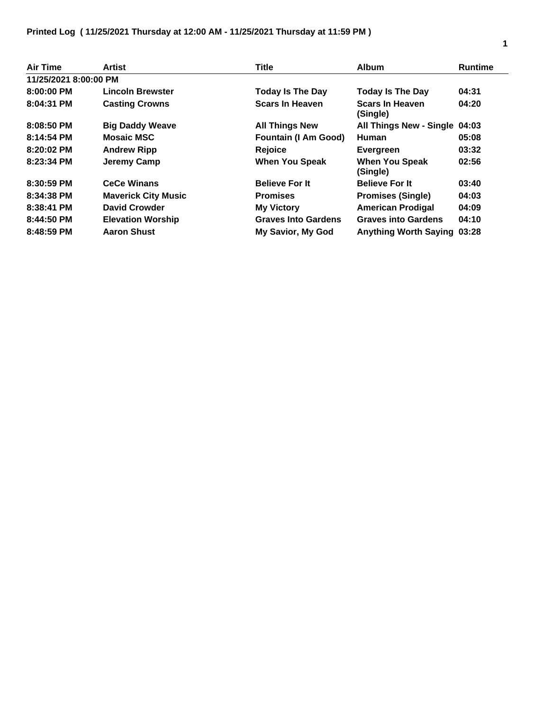## **Printed Log ( 11/25/2021 Thursday at 12:00 AM - 11/25/2021 Thursday at 11:59 PM )**

| Air Time              | Artist                     | <b>Title</b>                | <b>Album</b>                       | <b>Runtime</b> |
|-----------------------|----------------------------|-----------------------------|------------------------------------|----------------|
| 11/25/2021 8:00:00 PM |                            |                             |                                    |                |
| $8:00:00$ PM          | <b>Lincoln Brewster</b>    | <b>Today Is The Day</b>     | <b>Today Is The Day</b>            | 04:31          |
| 8:04:31 PM            | <b>Casting Crowns</b>      | <b>Scars In Heaven</b>      | <b>Scars In Heaven</b><br>(Single) | 04:20          |
| 8:08:50 PM            | <b>Big Daddy Weave</b>     | <b>All Things New</b>       | All Things New - Single 04:03      |                |
| 8:14:54 PM            | <b>Mosaic MSC</b>          | <b>Fountain (I Am Good)</b> | <b>Human</b>                       | 05:08          |
| $8:20:02$ PM          | <b>Andrew Ripp</b>         | Rejoice                     | <b>Evergreen</b>                   | 03:32          |
| 8:23:34 PM            | Jeremy Camp                | <b>When You Speak</b>       | <b>When You Speak</b><br>(Single)  | 02:56          |
| 8:30:59 PM            | <b>CeCe Winans</b>         | <b>Believe For It</b>       | <b>Believe For It</b>              | 03:40          |
| 8:34:38 PM            | <b>Maverick City Music</b> | <b>Promises</b>             | <b>Promises (Single)</b>           | 04:03          |
| 8:38:41 PM            | <b>David Crowder</b>       | <b>My Victory</b>           | <b>American Prodigal</b>           | 04:09          |
| 8:44:50 PM            | <b>Elevation Worship</b>   | <b>Graves Into Gardens</b>  | <b>Graves into Gardens</b>         | 04:10          |
| $8:48:59$ PM          | <b>Aaron Shust</b>         | My Savior, My God           | Anything Worth Saying 03:28        |                |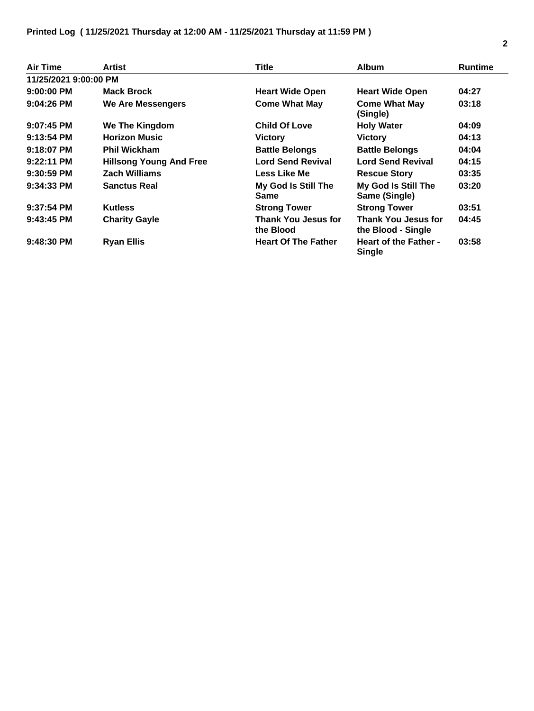## **Printed Log ( 11/25/2021 Thursday at 12:00 AM - 11/25/2021 Thursday at 11:59 PM )**

| Air Time              | Artist                         | Title                                   | <b>Album</b>                                     | <b>Runtime</b> |
|-----------------------|--------------------------------|-----------------------------------------|--------------------------------------------------|----------------|
| 11/25/2021 9:00:00 PM |                                |                                         |                                                  |                |
| $9:00:00$ PM          | <b>Mack Brock</b>              | <b>Heart Wide Open</b>                  | <b>Heart Wide Open</b>                           | 04:27          |
| $9:04:26$ PM          | We Are Messengers              | <b>Come What May</b>                    | <b>Come What May</b><br>(Single)                 | 03:18          |
| $9:07:45$ PM          | We The Kingdom                 | <b>Child Of Love</b>                    | <b>Holy Water</b>                                | 04:09          |
| $9:13:54$ PM          | <b>Horizon Music</b>           | <b>Victory</b>                          | <b>Victory</b>                                   | 04:13          |
| $9:18:07$ PM          | <b>Phil Wickham</b>            | <b>Battle Belongs</b>                   | <b>Battle Belongs</b>                            | 04:04          |
| $9:22:11$ PM          | <b>Hillsong Young And Free</b> | <b>Lord Send Revival</b>                | <b>Lord Send Revival</b>                         | 04:15          |
| $9:30:59$ PM          | <b>Zach Williams</b>           | Less Like Me                            | <b>Rescue Story</b>                              | 03:35          |
| $9:34:33$ PM          | <b>Sanctus Real</b>            | My God Is Still The<br><b>Same</b>      | My God Is Still The<br>Same (Single)             | 03:20          |
| $9:37:54$ PM          | <b>Kutless</b>                 | <b>Strong Tower</b>                     | <b>Strong Tower</b>                              | 03:51          |
| $9:43:45$ PM          | <b>Charity Gayle</b>           | <b>Thank You Jesus for</b><br>the Blood | <b>Thank You Jesus for</b><br>the Blood - Single | 04:45          |
| $9:48:30$ PM          | <b>Ryan Ellis</b>              | <b>Heart Of The Father</b>              | <b>Heart of the Father -</b><br><b>Single</b>    | 03:58          |